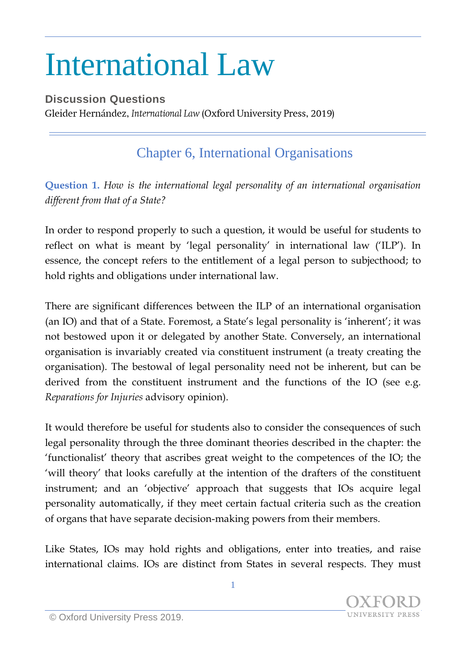## International Law

**Discussion Questions** Gleider Hernández, International Law (Oxford University Press, 2019)

## Chapter 6, International Organisations

**Question 1.** *How is the international legal personality of an international organisation different from that of a State?*

In order to respond properly to such a question, it would be useful for students to reflect on what is meant by 'legal personality' in international law ('ILP'). In essence, the concept refers to the entitlement of a legal person to subjecthood; to hold rights and obligations under international law.

There are significant differences between the ILP of an international organisation (an IO) and that of a State. Foremost, a State's legal personality is 'inherent'; it was not bestowed upon it or delegated by another State. Conversely, an international organisation is invariably created via constituent instrument (a treaty creating the organisation). The bestowal of legal personality need not be inherent, but can be derived from the constituent instrument and the functions of the IO (see e.g. *Reparations for Injuries* advisory opinion).

It would therefore be useful for students also to consider the consequences of such legal personality through the three dominant theories described in the chapter: the 'functionalist' theory that ascribes great weight to the competences of the IO; the 'will theory' that looks carefully at the intention of the drafters of the constituent instrument; and an 'objective' approach that suggests that IOs acquire legal personality automatically, if they meet certain factual criteria such as the creation of organs that have separate decision-making powers from their members.

Like States, IOs may hold rights and obligations, enter into treaties, and raise international claims. IOs are distinct from States in several respects. They must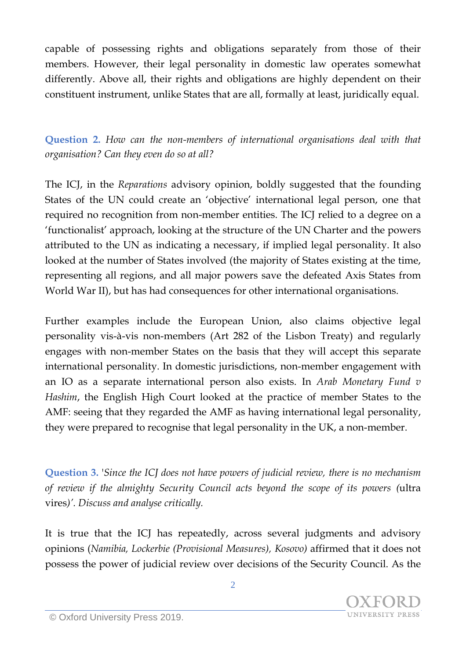capable of possessing rights and obligations separately from those of their members. However, their legal personality in domestic law operates somewhat differently. Above all, their rights and obligations are highly dependent on their constituent instrument, unlike States that are all, formally at least, juridically equal.

**Question 2.** *How can the non-members of international organisations deal with that organisation? Can they even do so at all?*

The ICJ, in the *Reparations* advisory opinion, boldly suggested that the founding States of the UN could create an 'objective' international legal person, one that required no recognition from non-member entities. The ICJ relied to a degree on a 'functionalist' approach, looking at the structure of the UN Charter and the powers attributed to the UN as indicating a necessary, if implied legal personality. It also looked at the number of States involved (the majority of States existing at the time, representing all regions, and all major powers save the defeated Axis States from World War II), but has had consequences for other international organisations.

Further examples include the European Union, also claims objective legal personality vis-à-vis non-members (Art 282 of the Lisbon Treaty) and regularly engages with non-member States on the basis that they will accept this separate international personality. In domestic jurisdictions, non-member engagement with an IO as a separate international person also exists. In *Arab Monetary Fund v Hashim*, the English High Court looked at the practice of member States to the AMF: seeing that they regarded the AMF as having international legal personality, they were prepared to recognise that legal personality in the UK, a non-member.

**Question 3.** '*Since the ICJ does not have powers of judicial review, there is no mechanism of review if the almighty Security Council acts beyond the scope of its powers (*ultra vires*)'. Discuss and analyse critically.*

It is true that the ICJ has repeatedly, across several judgments and advisory opinions (*Namibia, Lockerbie (Provisional Measures), Kosovo)* affirmed that it does not possess the power of judicial review over decisions of the Security Council. As the